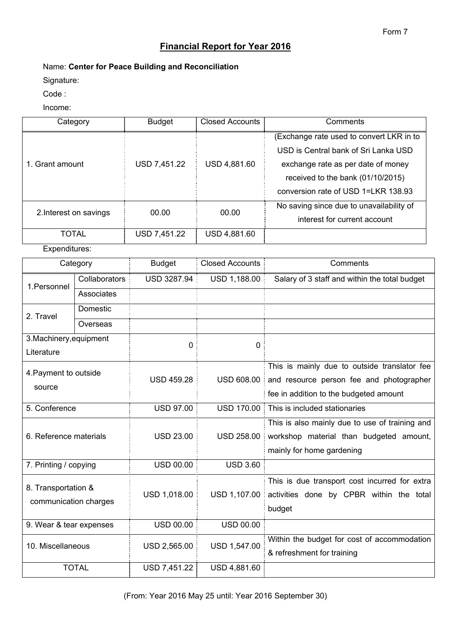## **Financial Report for Year 2016**

Name: **Center for Peace Building and Reconciliation**

Signature:

Code :

Income:

| Category               | <b>Budget</b> | <b>Closed Accounts</b> | Comments                                                                                                                                                                                           |  |
|------------------------|---------------|------------------------|----------------------------------------------------------------------------------------------------------------------------------------------------------------------------------------------------|--|
| 1. Grant amount        | USD 7,451.22  | USD 4,881.60           | (Exchange rate used to convert LKR in to<br>USD is Central bank of Sri Lanka USD<br>exchange rate as per date of money<br>received to the bank (01/10/2015)<br>conversion rate of USD 1=LKR 138.93 |  |
| 2. Interest on savings | 00.00         | 00.00                  | No saving since due to unavailability of<br>interest for current account                                                                                                                           |  |
| TOTAL                  | USD 7,451.22  | USD 4,881.60           |                                                                                                                                                                                                    |  |

Expenditures:

| Category                                     |               | <b>Budget</b>      | <b>Closed Accounts</b>   | Comments                                                                                                                           |  |
|----------------------------------------------|---------------|--------------------|--------------------------|------------------------------------------------------------------------------------------------------------------------------------|--|
| 1.Personnel                                  | Collaborators | <b>USD 3287.94</b> | USD 1,188.00             | Salary of 3 staff and within the total budget                                                                                      |  |
|                                              | Associates    |                    |                          |                                                                                                                                    |  |
| Domestic<br>2. Travel                        |               |                    |                          |                                                                                                                                    |  |
|                                              | Overseas      |                    |                          |                                                                                                                                    |  |
| 3. Machinery, equipment<br>Literature        |               | 0                  | $\Omega$                 |                                                                                                                                    |  |
| 4. Payment to outside<br>source              |               | <b>USD 459.28</b>  | USD 608.00               | This is mainly due to outside translator fee<br>and resource person fee and photographer<br>fee in addition to the budgeted amount |  |
| 5. Conference                                |               | <b>USD 97.00</b>   |                          | USD 170.00   This is included stationaries                                                                                         |  |
| 6. Reference materials                       |               | <b>USD 23.00</b>   | USD 258.00 $\frac{1}{2}$ | This is also mainly due to use of training and<br>workshop material than budgeted amount,<br>mainly for home gardening             |  |
| 7. Printing / copying                        |               | <b>USD 00.00</b>   | <b>USD 3.60</b>          |                                                                                                                                    |  |
| 8. Transportation &<br>communication charges |               | USD 1,018.00       | USD 1,107.00             | This is due transport cost incurred for extra<br>activities done by CPBR within the total<br>budget                                |  |
| 9. Wear & tear expenses                      |               | <b>USD 00.00</b>   | <b>USD 00.00</b>         |                                                                                                                                    |  |
| 10. Miscellaneous                            |               | USD 2,565.00       | USD 1,547.00             | Within the budget for cost of accommodation<br>& refreshment for training                                                          |  |
|                                              | <b>TOTAL</b>  | USD 7,451.22       | USD 4,881.60             |                                                                                                                                    |  |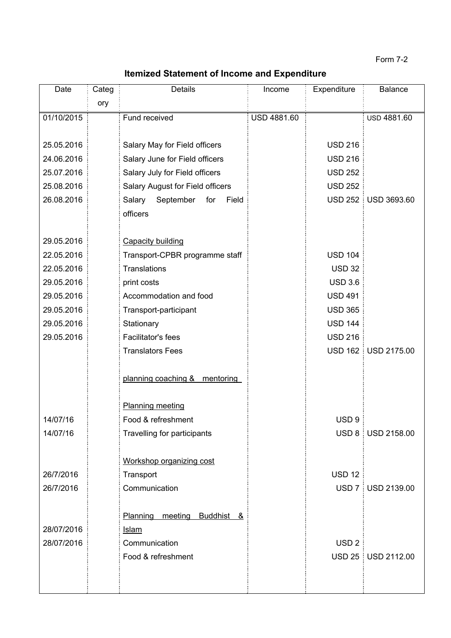## **Itemized Statement of Income and Expenditure**

| Date       | Categ | Details                                  | Income      | Expenditure      | <b>Balance</b>       |
|------------|-------|------------------------------------------|-------------|------------------|----------------------|
|            | ory   |                                          |             |                  |                      |
| 01/10/2015 |       | Fund received                            | USD 4881.60 |                  | USD 4881.60          |
|            |       |                                          |             |                  |                      |
| 25.05.2016 |       | Salary May for Field officers            |             | <b>USD 216</b>   |                      |
| 24.06.2016 |       | Salary June for Field officers           |             | <b>USD 216</b>   |                      |
| 25.07.2016 |       | Salary July for Field officers           |             | <b>USD 252</b>   |                      |
| 25.08.2016 |       | <b>Salary August for Field officers</b>  |             | <b>USD 252</b>   |                      |
| 26.08.2016 |       | Salary<br>September<br>for<br>Field      |             | <b>USD 252 :</b> | USD 3693.60          |
|            |       | officers                                 |             |                  |                      |
|            |       |                                          |             |                  |                      |
| 29.05.2016 |       | <b>Capacity building</b>                 |             |                  |                      |
| 22.05.2016 |       | Transport-CPBR programme staff           |             | <b>USD 104</b>   |                      |
| 22.05.2016 |       | Translations                             |             | <b>USD 32</b>    |                      |
| 29.05.2016 |       | print costs                              |             | <b>USD 3.6</b>   |                      |
| 29.05.2016 |       | Accommodation and food                   |             | <b>USD 491</b>   |                      |
| 29.05.2016 |       | Transport-participant                    |             | <b>USD 365</b>   |                      |
| 29.05.2016 |       | Stationary                               |             | <b>USD 144</b>   |                      |
| 29.05.2016 |       | Facilitator's fees                       |             | <b>USD 216</b>   |                      |
|            |       | <b>Translators Fees</b>                  |             | <b>USD 162 :</b> | <b>USD 2175.00</b>   |
|            |       |                                          |             |                  |                      |
|            |       | planning coaching &<br>mentoring         |             |                  |                      |
|            |       | <b>Planning meeting</b>                  |             |                  |                      |
| 14/07/16   |       | Food & refreshment                       |             | USD <sub>9</sub> |                      |
| 14/07/16   |       | Travelling for participants              |             |                  | USD 8   USD 2158.00  |
|            |       | Workshop organizing cost                 |             |                  |                      |
| 26/7/2016  |       | Transport                                |             | <b>USD 12</b>    |                      |
| 26/7/2016  |       | Communication                            |             |                  | USD 7 USD 2139.00    |
|            |       |                                          |             |                  |                      |
|            |       | <b>Planning</b><br>meeting<br>Buddhist & |             |                  |                      |
| 28/07/2016 |       | <b>Islam</b>                             |             |                  |                      |
| 28/07/2016 |       | Communication                            |             | USD <sub>2</sub> |                      |
|            |       | Food & refreshment                       |             |                  | USD 25 : USD 2112.00 |
|            |       |                                          |             |                  |                      |
|            |       |                                          |             |                  |                      |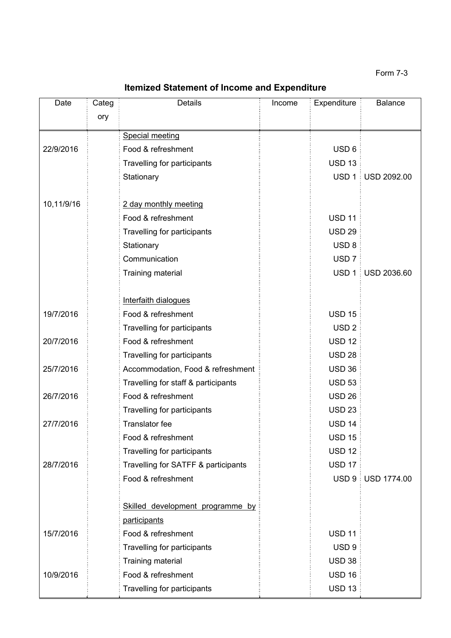Form 7-3

|  |  |  |  |  | <b>Itemized Statement of Income and Expenditure</b> |
|--|--|--|--|--|-----------------------------------------------------|
|--|--|--|--|--|-----------------------------------------------------|

| Date       | Categ | Details                             | Income | Expenditure      | <b>Balance</b>      |
|------------|-------|-------------------------------------|--------|------------------|---------------------|
|            | ory   |                                     |        |                  |                     |
|            |       | <b>Special meeting</b>              |        |                  |                     |
| 22/9/2016  |       | Food & refreshment                  |        | USD <sub>6</sub> |                     |
|            |       | Travelling for participants         |        | <b>USD 13</b>    |                     |
|            |       | Stationary                          |        | USD <sub>1</sub> | USD 2092.00         |
|            |       |                                     |        |                  |                     |
| 10,11/9/16 |       | 2 day monthly meeting               |        |                  |                     |
|            |       | Food & refreshment                  |        | <b>USD 11</b>    |                     |
|            |       | Travelling for participants         |        | <b>USD 29</b>    |                     |
|            |       | Stationary                          |        | USD <sub>8</sub> |                     |
|            |       | Communication                       |        | USD <sub>7</sub> |                     |
|            |       | Training material                   |        | USD <sub>1</sub> | USD 2036.60<br>÷    |
|            |       |                                     |        |                  |                     |
|            |       | Interfaith dialogues                |        |                  |                     |
| 19/7/2016  |       | Food & refreshment                  |        | <b>USD 15</b>    |                     |
|            |       | Travelling for participants         |        | USD <sub>2</sub> |                     |
| 20/7/2016  |       | Food & refreshment                  |        | <b>USD 12</b>    |                     |
|            |       | Travelling for participants         |        | <b>USD 28</b>    |                     |
| 25/7/2016  |       | Accommodation, Food & refreshment   |        | <b>USD 36</b>    |                     |
|            |       | Travelling for staff & participants |        | <b>USD 53</b>    |                     |
| 26/7/2016  |       | Food & refreshment                  |        | <b>USD 26</b>    |                     |
|            |       | Travelling for participants         |        | <b>USD 23</b>    |                     |
| 27/7/2016  |       | Translator fee                      |        | <b>USD 14</b>    |                     |
|            |       | Food & refreshment                  |        | <b>USD 15</b>    |                     |
|            |       | Travelling for participants         |        | <b>USD 12</b>    |                     |
| 28/7/2016  |       | Travelling for SATFF & participants |        | <b>USD 17</b>    |                     |
|            |       | Food & refreshment                  |        |                  | $USD 9$ USD 1774.00 |
|            |       |                                     |        |                  |                     |
|            |       | Skilled development programme by    |        |                  |                     |
|            |       | participants                        |        |                  |                     |
| 15/7/2016  |       | Food & refreshment                  |        | <b>USD 11</b>    |                     |
|            |       | Travelling for participants         |        | USD <sub>9</sub> |                     |
|            |       | Training material                   |        | <b>USD 38</b>    |                     |
| 10/9/2016  |       | Food & refreshment                  |        | <b>USD 16</b>    |                     |
|            |       | Travelling for participants         |        | <b>USD 13</b>    |                     |